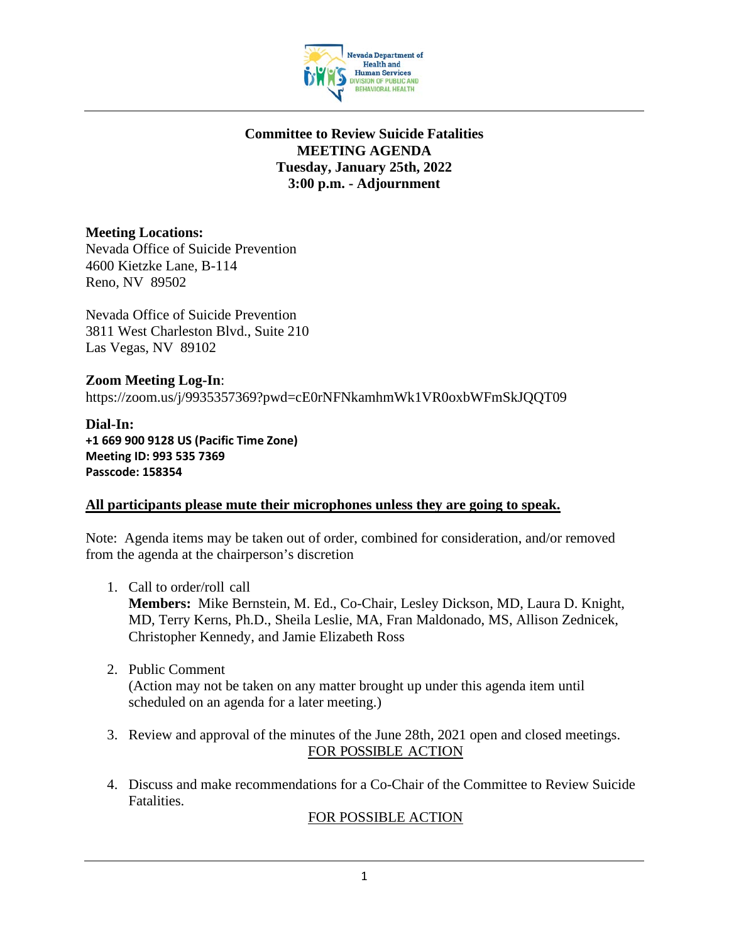

#### **Committee to Review Suicide Fatalities MEETING AGENDA Tuesday, January 25th, 2022 3:00 p.m. - Adjournment**

### **Meeting Locations:**

Nevada Office of Suicide Prevention 4600 Kietzke Lane, B-114 Reno, NV 89502

Nevada Office of Suicide Prevention 3811 West Charleston Blvd., Suite 210 Las Vegas, NV 89102

**Zoom Meeting Log-In**: https://zoom.us/j/9935357369?pwd=cE0rNFNkamhmWk1VR0oxbWFmSkJQQT09

**Dial-In: +1 669 900 9128 US (Pacific Time Zone) Meeting ID: 993 535 7369 Passcode: 158354**

#### **All participants please mute their microphones unless they are going to speak.**

Note: Agenda items may be taken out of order, combined for consideration, and/or removed from the agenda at the chairperson's discretion

- 1. Call to order/roll call **Members:** Mike Bernstein, M. Ed., Co-Chair, Lesley Dickson, MD, Laura D. Knight, MD, Terry Kerns, Ph.D., Sheila Leslie, MA, Fran Maldonado, MS, Allison Zednicek, Christopher Kennedy, and Jamie Elizabeth Ross
- 2. Public Comment (Action may not be taken on any matter brought up under this agenda item until scheduled on an agenda for a later meeting.)
- 3. Review and approval of the minutes of the June 28th, 2021 open and closed meetings. FOR POSSIBLE ACTION
- 4. Discuss and make recommendations for a Co-Chair of the Committee to Review Suicide Fatalities.

## FOR POSSIBLE ACTION